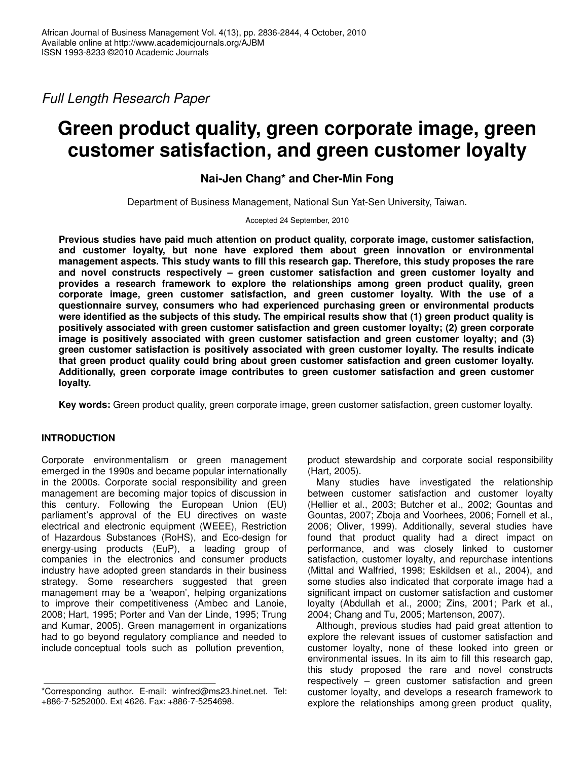*Full Length Research Paper*

# **Green product quality, green corporate image, green customer satisfaction, and green customer loyalty**

**Nai-Jen Chang\* and Cher-Min Fong**

Department of Business Management, National Sun Yat-Sen University, Taiwan.

Accepted 24 September, 2010

**Previous studies have paid much attention on product quality, corporate image, customer satisfaction, and customer loyalty, but none have explored them about green innovation or environmental management aspects. This study wants to fill this research gap. Therefore, this study proposes the rare and novel constructs respectively – green customer satisfaction and green customer loyalty and provides a research framework to explore the relationships among green product quality, green corporate image, green customer satisfaction, and green customer loyalty. With the use of a questionnaire survey, consumers who had experienced purchasing green or environmental products** were identified as the subjects of this study. The empirical results show that (1) green product quality is **positively associated with green customer satisfaction and green customer loyalty; (2) green corporate image is positively associated with green customer satisfaction and green customer loyalty; and (3) green customer satisfaction is positively associated with green customer loyalty. The results indicate that green product quality could bring about green customer satisfaction and green customer loyalty. Additionally, green corporate image contributes to green customer satisfaction and green customer loyalty.**

**Key words:** Green product quality, green corporate image, green customer satisfaction, green customer loyalty.

# **INTRODUCTION**

Corporate environmentalism or green management emerged in the 1990s and became popular internationally in the 2000s. Corporate social responsibility and green management are becoming major topics of discussion in this century. Following the European Union (EU) parliament's approval of the EU directives on waste electrical and electronic equipment (WEEE), Restriction of Hazardous Substances (RoHS), and Eco-design for energy-using products (EuP), a leading group of companies in the electronics and consumer products industry have adopted green standards in their business strategy. Some researchers suggested that green management may be a 'weapon', helping organizations to improve their competitiveness (Ambec and Lanoie, 2008; Hart, 1995; Porter and Van der Linde, 1995; Trung and Kumar, 2005). Green management in organizations had to go beyond regulatory compliance and needed to include conceptual tools such as pollution prevention,

product stewardship and corporate social responsibility (Hart, 2005).

Many studies have investigated the relationship between customer satisfaction and customer loyalty (Hellier et al., 2003; Butcher et al., 2002; Gountas and Gountas, 2007; Zboja and Voorhees, 2006; Fornell et al., 2006; Oliver, 1999). Additionally, several studies have found that product quality had a direct impact on performance, and was closely linked to customer satisfaction, customer loyalty, and repurchase intentions (Mittal and Walfried, 1998; Eskildsen et al., 2004), and some studies also indicated that corporate image had a significant impact on customer satisfaction and customer loyalty (Abdullah et al., 2000; Zins, 2001; Park et al., 2004; Chang and Tu, 2005; Martenson, 2007).

Although, previous studies had paid great attention to explore the relevant issues of customer satisfaction and customer loyalty, none of these looked into green or environmental issues. In its aim to fill this research gap, this study proposed the rare and novel constructs respectively – green customer satisfaction and green customer loyalty, and develops a research framework to explore the relationships among green product quality,

<sup>\*</sup>Corresponding author. E-mail: winfred@ms23.hinet.net. Tel: +886-7-5252000. Ext 4626. Fax: +886-7-5254698.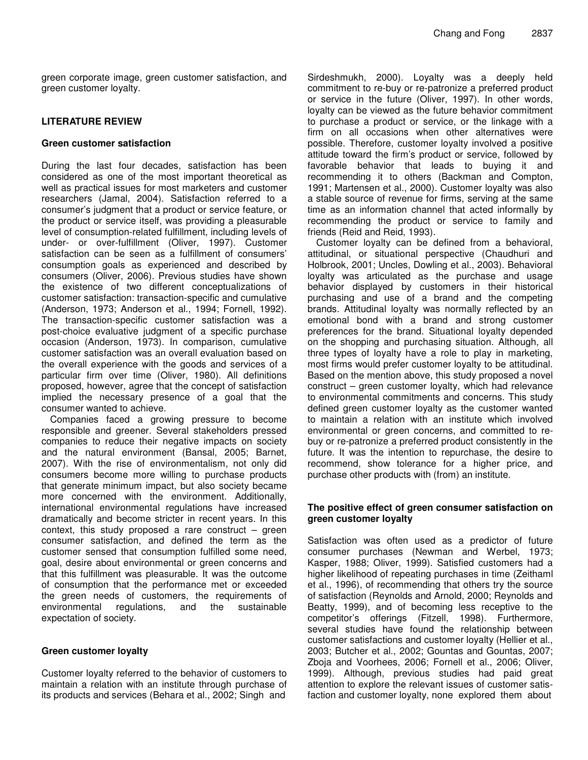green corporate image, green customer satisfaction, and green customer loyalty.

# **LITERATURE REVIEW**

## **Green customer satisfaction**

During the last four decades, satisfaction has been considered as one of the most important theoretical as well as practical issues for most marketers and customer researchers (Jamal, 2004). Satisfaction referred to a consumer's judgment that a product or service feature, or the product or service itself, was providing a pleasurable level of consumption-related fulfillment, including levels of under- or over-fulfillment (Oliver, 1997). Customer satisfaction can be seen as a fulfillment of consumers' consumption goals as experienced and described by consumers (Oliver, 2006). Previous studies have shown the existence of two different conceptualizations of customer satisfaction: transaction-specific and cumulative (Anderson, 1973; Anderson et al., 1994; Fornell, 1992). The transaction-specific customer satisfaction was a post-choice evaluative judgment of a specific purchase occasion (Anderson, 1973). In comparison, cumulative customer satisfaction was an overall evaluation based on the overall experience with the goods and services of a particular firm over time (Oliver, 1980). All definitions proposed, however, agree that the concept of satisfaction implied the necessary presence of a goal that the consumer wanted to achieve.

Companies faced a growing pressure to become responsible and greener. Several stakeholders pressed companies to reduce their negative impacts on society and the natural environment (Bansal, 2005; Barnet, 2007). With the rise of environmentalism, not only did consumers become more willing to purchase products that generate minimum impact, but also society became more concerned with the environment. Additionally, international environmental regulations have increased dramatically and become stricter in recent years. In this context, this study proposed a rare construct  $-$  green consumer satisfaction, and defined the term as the customer sensed that consumption fulfilled some need, goal, desire about environmental or green concerns and that this fulfillment was pleasurable. It was the outcome of consumption that the performance met or exceeded the green needs of customers, the requirements of environmental regulations, and the sustainable expectation of society.

# **Green customer loyalty**

Customer loyalty referred to the behavior of customers to maintain a relation with an institute through purchase of its products and services (Behara et al., 2002; Singh and

Sirdeshmukh, 2000). Loyalty was a deeply held commitment to re-buy or re-patronize a preferred product or service in the future (Oliver, 1997). In other words, loyalty can be viewed as the future behavior commitment to purchase a product or service, or the linkage with a firm on all occasions when other alternatives were possible. Therefore, customer loyalty involved a positive attitude toward the firm's product or service, followed by favorable behavior that leads to buying it and recommending it to others (Backman and Compton, 1991; Martensen et al., 2000). Customer loyalty was also a stable source of revenue for firms, serving at the same time as an information channel that acted informally by recommending the product or service to family and friends (Reid and Reid, 1993).

Customer loyalty can be defined from a behavioral, attitudinal, or situational perspective (Chaudhuri and Holbrook, 2001; Uncles, Dowling et al., 2003). Behavioral loyalty was articulated as the purchase and usage behavior displayed by customers in their historical purchasing and use of a brand and the competing brands. Attitudinal loyalty was normally reflected by an emotional bond with a brand and strong customer preferences for the brand. Situational loyalty depended on the shopping and purchasing situation. Although, all three types of loyalty have a role to play in marketing, most firms would prefer customer loyalty to be attitudinal. Based on the mention above, this study proposed a novel construct – green customer loyalty, which had relevance to environmental commitments and concerns. This study defined green customer loyalty as the customer wanted to maintain a relation with an institute which involved environmental or green concerns, and committed to rebuy or re-patronize a preferred product consistently in the future. It was the intention to repurchase, the desire to recommend, show tolerance for a higher price, and purchase other products with (from) an institute.

# **The positive effect of green consumer satisfaction on green customer loyalty**

Satisfaction was often used as a predictor of future consumer purchases (Newman and Werbel, 1973; Kasper, 1988; Oliver, 1999). Satisfied customers had a higher likelihood of repeating purchases in time (Zeithaml et al., 1996), of recommending that others try the source of satisfaction (Reynolds and Arnold, 2000; Reynolds and Beatty, 1999), and of becoming less receptive to the competitor's offerings (Fitzell, 1998). Furthermore, several studies have found the relationship between customer satisfactions and customer loyalty (Hellier et al., 2003; Butcher et al., 2002; Gountas and Gountas, 2007; Zboja and Voorhees, 2006; Fornell et al., 2006; Oliver, 1999). Although, previous studies had paid great attention to explore the relevant issues of customer satisfaction and customer loyalty, none explored them about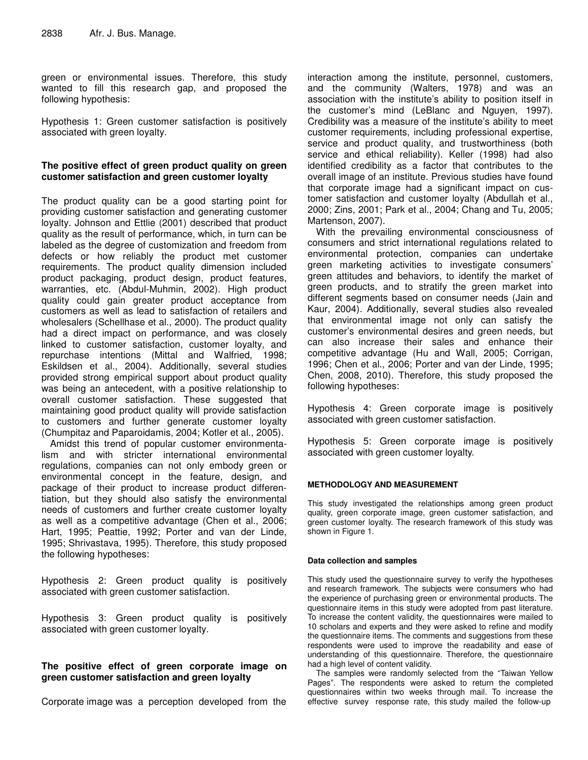green or environmental issues. Therefore, this study wanted to fill this research gap, and proposed the following hypothesis:

Hypothesis 1: Green customer satisfaction is positively associated with green loyalty.

# **The positive effect of green product quality on green customer satisfaction and green customer loyalty**

The product quality can be a good starting point for providing customer satisfaction and generating customer loyalty. Johnson and Ettlie (2001) described that product quality as the result of performance, which, in turn can be labeled as the degree of customization and freedom from defects or how reliably the product met customer requirements. The product quality dimension included product packaging, product design, product features, warranties, etc. (Abdul-Muhmin, 2002). High product quality could gain greater product acceptance from customers as well as lead to satisfaction of retailers and wholesalers (Schellhase et al., 2000). The product quality had a direct impact on performance, and was closely linked to customer satisfaction, customer loyalty, and repurchase intentions (Mittal and Walfried, 1998; Eskildsen et al., 2004). Additionally, several studies provided strong empirical support about product quality was being an antecedent, with a positive relationship to overall customer satisfaction. These suggested that maintaining good product quality will provide satisfaction to customers and further generate customer loyalty (Chumpitaz and Paparoidamis, 2004; Kotler et al., 2005).

Amidst this trend of popular customer environmentalism and with stricter international environmental regulations, companies can not only embody green or environmental concept in the feature, design, and package of their product to increase product differentiation, but they should also satisfy the environmental needs of customers and further create customer loyalty as well as a competitive advantage (Chen et al., 2006; Hart, 1995; Peattie, 1992; Porter and van der Linde, 1995; Shrivastava, 1995). Therefore, this study proposed the following hypotheses:

Hypothesis 2: Green product quality is positively associated with green customer satisfaction.

Hypothesis 3: Green product quality is positively associated with green customer loyalty.

# **The positive effect of green corporate image on green customer satisfaction and green loyalty**

Corporate image was a perception developed from the

interaction among the institute, personnel, customers, and the community (Walters, 1978) and was an association with the institute's ability to position itself in the customer's mind (LeBlanc and Nguyen, 1997). Credibility was a measure of the institute's ability to meet customer requirements, including professional expertise, service and product quality, and trustworthiness (both service and ethical reliability). Keller (1998) had also identified credibility as a factor that contributes to the overall image of an institute. Previous studies have found that corporate image had a significant impact on customer satisfaction and customer loyalty (Abdullah et al., 2000; Zins, 2001; Park et al., 2004; Chang and Tu, 2005; Martenson, 2007).

With the prevailing environmental consciousness of consumers and strict international regulations related to environmental protection, companies can undertake green marketing activities to investigate consumers' green attitudes and behaviors, to identify the market of green products, and to stratify the green market into different segments based on consumer needs (Jain and Kaur, 2004). Additionally, several studies also revealed that environmental image not only can satisfy the customer's environmental desires and green needs, but can also increase their sales and enhance their competitive advantage (Hu and Wall, 2005; Corrigan, 1996; Chen et al., 2006; Porter and van der Linde, 1995; Chen, 2008, 2010). Therefore, this study proposed the following hypotheses:

Hypothesis 4: Green corporate image is positively associated with green customer satisfaction.

Hypothesis 5: Green corporate image is positively associated with green customer loyalty.

# **METHODOLOGY AND MEASUREMENT**

This study investigated the relationships among green product quality, green corporate image, green customer satisfaction, and green customer loyalty. The research framework of this study was shown in Figure 1.

## **Data collection and samples**

This study used the questionnaire survey to verify the hypotheses and research framework. The subjects were consumers who had the experience of purchasing green or environmental products. The questionnaire items in this study were adopted from past literature. To increase the content validity, the questionnaires were mailed to 10 scholars and experts and they were asked to refine and modify the questionnaire items. The comments and suggestions from these respondents were used to improve the readability and ease of understanding of this questionnaire. Therefore, the questionnaire had a high level of content validity.

The samples were randomly selected from the "Taiwan Yellow Pages". The respondents were asked to return the completed questionnaires within two weeks through mail. To increase the effective survey response rate, this study mailed the follow-up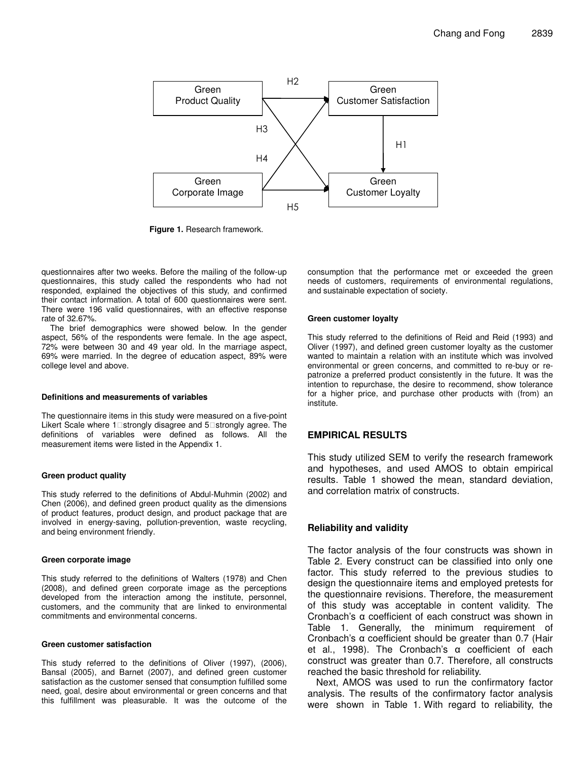

**Figure 1.** Research framework.

questionnaires after two weeks. Before the mailing of the follow-up questionnaires, this study called the respondents who had not responded, explained the objectives of this study, and confirmed their contact information. A total of 600 questionnaires were sent. There were 196 valid questionnaires, with an effective response rate of 32.67%.

The brief demographics were showed below. In the gender aspect, 56% of the respondents were female. In the age aspect, 72% were between 30 and 49 year old. In the marriage aspect, 69% were married. In the degree of education aspect, 89% were college level and above.

#### **Definitions and measurements of variables**

The questionnaire items in this study were measured on a five-point Likert Scale where 1 strongly disagree and 5 strongly agree. The definitions of variables were defined as follows. All the measurement items were listed in the Appendix 1.

#### **Green product quality**

This study referred to the definitions of Abdul-Muhmin (2002) and Chen (2006), and defined green product quality as the dimensions of product features, product design, and product package that are involved in energy-saving, pollution-prevention, waste recycling, and being environment friendly.

#### **Green corporate image**

This study referred to the definitions of Walters (1978) and Chen (2008), and defined green corporate image as the perceptions developed from the interaction among the institute, personnel, customers, and the community that are linked to environmental commitments and environmental concerns.

#### **Green customer satisfaction**

This study referred to the definitions of Oliver (1997), (2006), Bansal (2005), and Barnet (2007), and defined green customer satisfaction as the customer sensed that consumption fulfilled some need, goal, desire about environmental or green concerns and that this fulfillment was pleasurable. It was the outcome of the consumption that the performance met or exceeded the green needs of customers, requirements of environmental regulations, and sustainable expectation of society.

#### **Green customer loyalty**

This study referred to the definitions of Reid and Reid (1993) and Oliver (1997), and defined green customer loyalty as the customer wanted to maintain a relation with an institute which was involved environmental or green concerns, and committed to re-buy or repatronize a preferred product consistently in the future. It was the intention to repurchase, the desire to recommend, show tolerance for a higher price, and purchase other products with (from) an institute.

## **EMPIRICAL RESULTS**

This study utilized SEM to verify the research framework and hypotheses, and used AMOS to obtain empirical results. Table 1 showed the mean, standard deviation, and correlation matrix of constructs.

# **Reliability and validity**

The factor analysis of the four constructs was shown in Table 2. Every construct can be classified into only one factor. This study referred to the previous studies to design the questionnaire items and employed pretests for the questionnaire revisions. Therefore, the measurement of this study was acceptable in content validity. The Cronbach's  $\alpha$  coefficient of each construct was shown in Table 1. Generally, the minimum requirement of Cronbach's  $\alpha$  coefficient should be greater than 0.7 (Hair et al., 1998). The Cronbach's  $\alpha$  coefficient of each construct was greater than 0.7. Therefore, all constructs reached the basic threshold for reliability.

Next, AMOS was used to run the confirmatory factor analysis. The results of the confirmatory factor analysis were shown in Table 1. With regard to reliability, the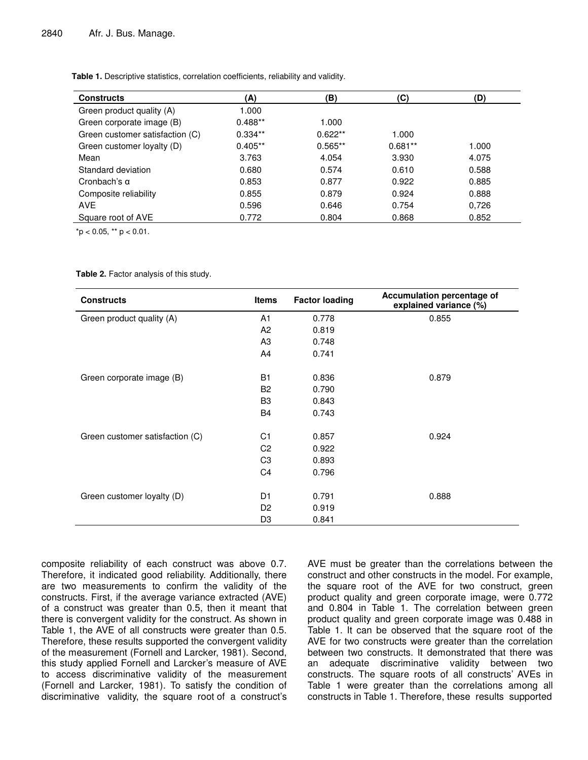**Table 1.** Descriptive statistics, correlation coefficients, reliability and validity.

| <b>Constructs</b>               | (A)       | (B)       | (C)       | (D)   |
|---------------------------------|-----------|-----------|-----------|-------|
| Green product quality (A)       | 1.000     |           |           |       |
| Green corporate image (B)       | $0.488**$ | 1.000     |           |       |
| Green customer satisfaction (C) | $0.334**$ | $0.622**$ | 1.000     |       |
| Green customer loyalty (D)      | $0.405**$ | $0.565**$ | $0.681**$ | 1.000 |
| Mean                            | 3.763     | 4.054     | 3.930     | 4.075 |
| Standard deviation              | 0.680     | 0.574     | 0.610     | 0.588 |
| Cronbach's $\alpha$             | 0.853     | 0.877     | 0.922     | 0.885 |
| Composite reliability           | 0.855     | 0.879     | 0.924     | 0.888 |
| <b>AVE</b>                      | 0.596     | 0.646     | 0.754     | 0,726 |
| Square root of AVE              | 0.772     | 0.804     | 0.868     | 0.852 |

 $*$ p < 0.05,  $*$  p < 0.01.

#### **Table 2.** Factor analysis of this study.

| <b>Constructs</b>               | <b>Items</b>   | <b>Factor loading</b> | <b>Accumulation percentage of</b><br>explained variance (%) |
|---------------------------------|----------------|-----------------------|-------------------------------------------------------------|
| Green product quality (A)       | A1             | 0.778                 | 0.855                                                       |
|                                 | A2             | 0.819                 |                                                             |
|                                 | A <sub>3</sub> | 0.748                 |                                                             |
|                                 | A <sub>4</sub> | 0.741                 |                                                             |
| Green corporate image (B)       | <b>B1</b>      | 0.836                 | 0.879                                                       |
|                                 | B <sub>2</sub> | 0.790                 |                                                             |
|                                 | B <sub>3</sub> | 0.843                 |                                                             |
|                                 | <b>B4</b>      | 0.743                 |                                                             |
| Green customer satisfaction (C) | C <sub>1</sub> | 0.857                 | 0.924                                                       |
|                                 | C <sub>2</sub> | 0.922                 |                                                             |
|                                 | C <sub>3</sub> | 0.893                 |                                                             |
|                                 | C <sub>4</sub> | 0.796                 |                                                             |
| Green customer loyalty (D)      | D <sub>1</sub> | 0.791                 | 0.888                                                       |
|                                 | D <sub>2</sub> | 0.919                 |                                                             |
|                                 | D <sub>3</sub> | 0.841                 |                                                             |

composite reliability of each construct was above 0.7. Therefore, it indicated good reliability. Additionally, there are two measurements to confirm the validity of the constructs. First, if the average variance extracted (AVE) of a construct was greater than 0.5, then it meant that there is convergent validity for the construct. As shown in Table 1, the AVE of all constructs were greater than 0.5. Therefore, these results supported the convergent validity of the measurement (Fornell and Larcker, 1981). Second, this study applied Fornell and Larcker's measure of AVE to access discriminative validity of the measurement (Fornell and Larcker, 1981). To satisfy the condition of discriminative validity, the square root of a construct's AVE must be greater than the correlations between the construct and other constructs in the model. For example, the square root of the AVE for two construct, green product quality and green corporate image, were 0.772 and 0.804 in Table 1. The correlation between green product quality and green corporate image was 0.488 in Table 1. It can be observed that the square root of the AVE for two constructs were greater than the correlation between two constructs. It demonstrated that there was an adequate discriminative validity between two constructs. The square roots of all constructs' AVEs in Table 1 were greater than the correlations among all constructs in Table 1. Therefore, these results supported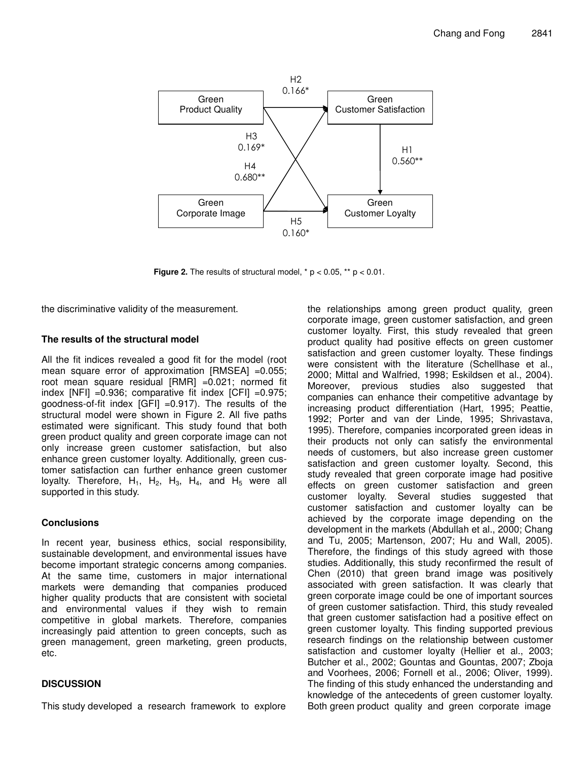

**Figure 2.** The results of structural model,  $* p < 0.05$ ,  $** p < 0.01$ .

the discriminative validity of the measurement.

## **The results of the structural model**

All the fit indices revealed a good fit for the model (root mean square error of approximation [RMSEA] =0.055; root mean square residual [RMR] =0.021; normed fit index  $[NFI] = 0.936$ ; comparative fit index  $[CFI] = 0.975$ ; goodness-of-fit index [GFI] =0.917). The results of the structural model were shown in Figure 2. All five paths estimated were significant. This study found that both green product quality and green corporate image can not only increase green customer satisfaction, but also enhance green customer loyalty. Additionally, green customer satisfaction can further enhance green customer loyalty. Therefore,  $H_1$ ,  $H_2$ ,  $H_3$ ,  $H_4$ , and  $H_5$  were all supported in this study.

# **Conclusions**

In recent year, business ethics, social responsibility, sustainable development, and environmental issues have become important strategic concerns among companies. At the same time, customers in major international markets were demanding that companies produced higher quality products that are consistent with societal and environmental values if they wish to remain competitive in global markets. Therefore, companies increasingly paid attention to green concepts, such as green management, green marketing, green products, etc.

# **DISCUSSION**

This study developed a research framework to explore

the relationships among green product quality, green corporate image, green customer satisfaction, and green customer loyalty. First, this study revealed that green product quality had positive effects on green customer satisfaction and green customer loyalty. These findings were consistent with the literature (Schellhase et al., 2000; Mittal and Walfried, 1998; Eskildsen et al., 2004). Moreover, previous studies also suggested that companies can enhance their competitive advantage by increasing product differentiation (Hart, 1995; Peattie, 1992; Porter and van der Linde, 1995; Shrivastava, 1995). Therefore, companies incorporated green ideas in their products not only can satisfy the environmental needs of customers, but also increase green customer satisfaction and green customer loyalty. Second, this study revealed that green corporate image had positive effects on green customer satisfaction and green customer loyalty. Several studies suggested that customer satisfaction and customer loyalty can be achieved by the corporate image depending on the development in the markets (Abdullah et al., 2000; Chang and Tu, 2005; Martenson, 2007; Hu and Wall, 2005). Therefore, the findings of this study agreed with those studies. Additionally, this study reconfirmed the result of Chen (2010) that green brand image was positively associated with green satisfaction. It was clearly that green corporate image could be one of important sources of green customer satisfaction. Third, this study revealed that green customer satisfaction had a positive effect on green customer loyalty. This finding supported previous research findings on the relationship between customer satisfaction and customer loyalty (Hellier et al., 2003; Butcher et al., 2002; Gountas and Gountas, 2007; Zboja and Voorhees, 2006; Fornell et al., 2006; Oliver, 1999). The finding of this study enhanced the understanding and knowledge of the antecedents of green customer loyalty. Both green product quality and green corporate image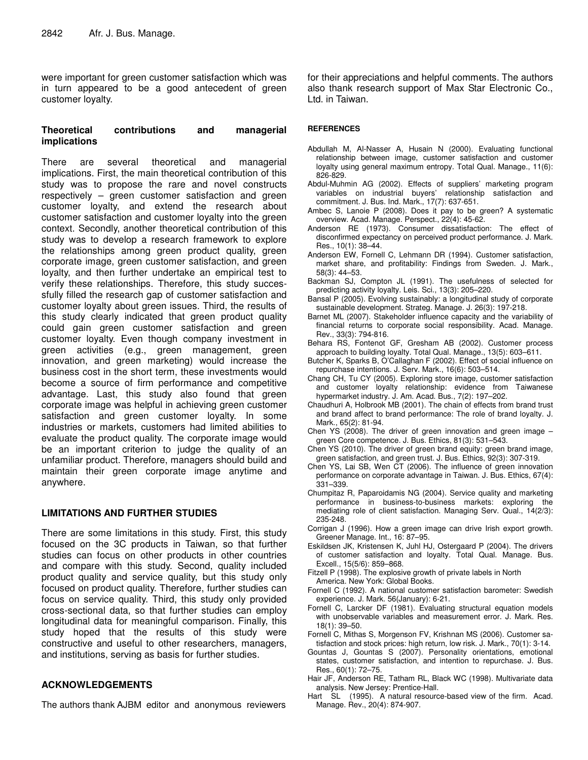were important for green customer satisfaction which was in turn appeared to be a good antecedent of green customer loyalty.

# **Theoretical contributions and managerial implications**

There are several theoretical and managerial implications. First, the main theoretical contribution of this study was to propose the rare and novel constructs respectively – green customer satisfaction and green customer loyalty, and extend the research about customer satisfaction and customer loyalty into the green context. Secondly, another theoretical contribution of this study was to develop a research framework to explore the relationships among green product quality, green corporate image, green customer satisfaction, and green loyalty, and then further undertake an empirical test to verify these relationships. Therefore, this study successfully filled the research gap of customer satisfaction and customer loyalty about green issues. Third, the results of this study clearly indicated that green product quality could gain green customer satisfaction and green customer loyalty. Even though company investment in green activities (e.g., green management, green innovation, and green marketing) would increase the business cost in the short term, these investments would become a source of firm performance and competitive advantage. Last, this study also found that green corporate image was helpful in achieving green customer satisfaction and green customer loyalty. In some industries or markets, customers had limited abilities to evaluate the product quality. The corporate image would be an important criterion to judge the quality of an unfamiliar product. Therefore, managers should build and maintain their green corporate image anytime and anywhere.

# **LIMITATIONS AND FURTHER STUDIES**

There are some limitations in this study. First, this study focused on the 3C products in Taiwan, so that further studies can focus on other products in other countries and compare with this study. Second, quality included product quality and service quality, but this study only focused on product quality. Therefore, further studies can focus on service quality. Third, this study only provided cross-sectional data, so that further studies can employ longitudinal data for meaningful comparison. Finally, this study hoped that the results of this study were constructive and useful to other researchers, managers, and institutions, serving as basis for further studies.

# **ACKNOWLEDGEMENTS**

The authors thank AJBM editor and anonymous reviewers

for their appreciations and helpful comments. The authors also thank research support of Max Star Electronic Co., Ltd. in Taiwan.

## **REFERENCES**

- Abdullah M, Al-Nasser A, Husain N (2000). Evaluating functional relationship between image, customer satisfaction and customer loyalty using general maximum entropy. Total Qual. Manage., 11(6): 826-829.
- Abdul-Muhmin AG (2002). Effects of suppliers' marketing program variables on industrial buyers' relationship satisfaction and commitment. J. Bus. Ind. Mark., 17(7): 637-651.
- Ambec S, Lanoie P (2008). Does it pay to be green? A systematic overview. Acad. Manage. Perspect., 22(4): 45-62.
- Anderson RE (1973). Consumer dissatisfaction: The effect of disconfirmed expectancy on perceived product performance. J. Mark. Res., 10(1): 38–44.
- Anderson EW, Fornell C, Lehmann DR (1994). Customer satisfaction, market share, and profitability: Findings from Sweden. J. Mark., 58(3): 44–53.
- Backman SJ, Compton JL (1991). The usefulness of selected for predicting activity loyalty. Leis. Sci., 13(3): 205–220.
- Bansal P (2005). Evolving sustainably: a longitudinal study of corporate sustainable development. Strateg. Manage. J. 26(3): 197-218.
- Barnet ML (2007). Stakeholder influence capacity and the variability of financial returns to corporate social responsibility. Acad. Manage. Rev., 33(3): 794-816.
- Behara RS, Fontenot GF, Gresham AB (2002). Customer process approach to building loyalty. Total Qual. Manage., 13(5): 603–611.
- Butcher K, Sparks B, O'Callaghan F (2002). Effect of social influence on repurchase intentions. J. Serv. Mark., 16(6): 503–514.
- Chang CH, Tu CY (2005). Exploring store image, customer satisfaction and customer loyalty relationship: evidence from Taiwanese hypermarket industry. J. Am. Acad. Bus., 7(2): 197–202.
- Chaudhuri A, Holbrook MB (2001). The chain of effects from brand trust and brand affect to brand performance: The role of brand loyalty. J. Mark., 65(2): 81-94.
- Chen YS (2008). The driver of green innovation and green image  $$ green Core competence. J. Bus. Ethics, 81(3): 531–543.
- Chen YS (2010). The driver of green brand equity: green brand image, green satisfaction, and green trust. J. Bus. Ethics, 92(3): 307-319.
- Chen YS, Lai SB, Wen CT (2006). The influence of green innovation performance on corporate advantage in Taiwan. J. Bus. Ethics, 67(4): 331–339.
- Chumpitaz R, Paparoidamis NG (2004). Service quality and marketing performance in business-to-business markets: exploring the mediating role of client satisfaction. Managing Serv. Qual., 14(2/3): 235-248.
- Corrigan J (1996). How a green image can drive Irish export growth. Greener Manage. Int., 16: 87–95.
- Eskildsen JK, Kristensen K, Juhl HJ, Ostergaard P (2004). The drivers of customer satisfaction and loyalty. Total Qual. Manage. Bus. Excell., 15(5/6): 859–868.
- Fitzell P (1998). The explosive growth of private labels in North America. New York: Global Books.
- Fornell C (1992). A national customer satisfaction barometer: Swedish experience. J. Mark. 56(January): 6-21.
- Fornell C, Larcker DF (1981). Evaluating structural equation models with unobservable variables and measurement error. J. Mark. Res. 18(1): 39–50.
- Fornell C, Mithas S, Morgenson FV, Krishnan MS (2006). Customer satisfaction and stock prices: high return, low risk. J. Mark., 70(1): 3-14.
- Gountas J, Gountas S (2007). Personality orientations, emotional states, customer satisfaction, and intention to repurchase. J. Bus. Res., 60(1): 72–75.
- Hair JF, Anderson RE, Tatham RL, Black WC (1998). Multivariate data analysis. New Jersey: Prentice-Hall.
- Hart SL (1995). A natural resource-based view of the firm. Acad. Manage. Rev., 20(4): 874-907.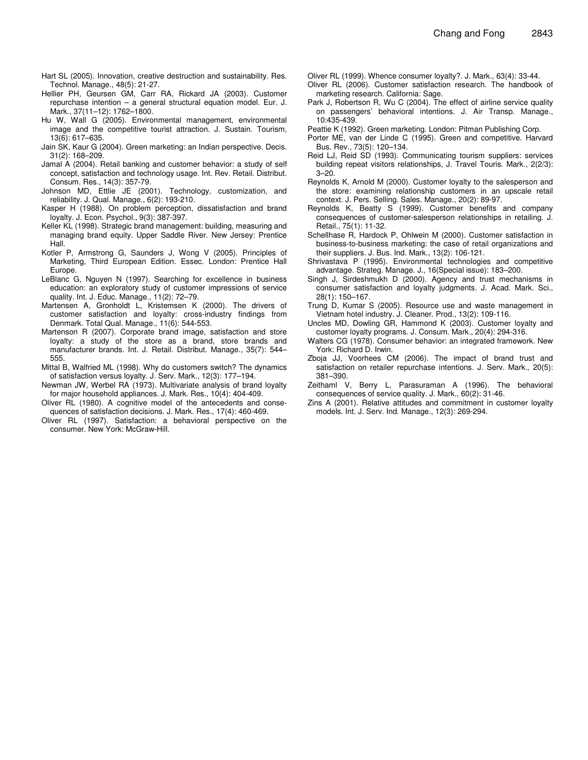- Hart SL (2005). Innovation, creative destruction and sustainability. Res. Technol. Manage., 48(5): 21-27.
- Hellier PH, Geursen GM, Carr RA, Rickard JA (2003). Customer repurchase intention – a general structural equation model. Eur. J. Mark., 37(11–12): 1762–1800.
- Hu W, Wall G (2005). Environmental management, environmental image and the competitive tourist attraction. J. Sustain. Tourism, 13(6): 617–635.
- Jain SK, Kaur G (2004). Green marketing: an Indian perspective. Decis. 31(2): 168–209.
- Jamal A (2004). Retail banking and customer behavior: a study of self concept, satisfaction and technology usage. Int. Rev. Retail. Distribut. Consum. Res., 14(3): 357-79.
- Johnson MD, Ettlie JE (2001). Technology, customization, and reliability. J. Qual. Manage., 6(2): 193-210.
- Kasper H (1988). On problem perception, dissatisfaction and brand loyalty. J. Econ. Psychol., 9(3): 387-397.
- Keller KL (1998). Strategic brand management: building, measuring and managing brand equity. Upper Saddle River. New Jersey: Prentice Hall.
- Kotler P, Armstrong G, Saunders J, Wong V (2005). Principles of Marketing*,* Third European Edition. Essec. London: Prentice Hall Europe.
- LeBlanc G, Nguyen N (1997). Searching for excellence in business education: an exploratory study of customer impressions of service quality. Int. J. Educ. Manage., 11(2): 72–79.
- Martensen A, Gronholdt L, Kristemsen K (2000). The drivers of customer satisfaction and loyalty: cross-industry findings from Denmark. Total Qual. Manage., 11(6): 544-553.
- Martenson R (2007). Corporate brand image, satisfaction and store loyalty: a study of the store as a brand, store brands and manufacturer brands. Int. J. Retail. Distribut. Manage., 35(7): 544– 555.
- Mittal B, Walfried ML (1998). Why do customers switch? The dynamics of satisfaction versus loyalty. J. Serv. Mark., 12(3): 177–194.
- Newman JW, Werbel RA (1973). Multivariate analysis of brand loyalty for major household appliances. J. Mark. Res., 10(4): 404-409.
- Oliver RL (1980). A cognitive model of the antecedents and consequences of satisfaction decisions. J. Mark. Res., 17(4): 460-469.
- Oliver RL (1997). Satisfaction: a behavioral perspective on the consumer. New York: McGraw-Hill.
- Oliver RL (1999). Whence consumer loyalty?. J. Mark., 63(4): 33-44.
- Oliver RL (2006). Customer satisfaction research. The handbook of marketing research. California: Sage.
- Park J, Robertson R, Wu C (2004). The effect of airline service quality on passengers' behavioral intentions. J. Air Transp. Manage., 10:435-439.
- Peattie K (1992). Green marketing. London: Pitman Publishing Corp.
- Porter ME, van der Linde C (1995). Green and competitive. Harvard Bus. Rev., 73(5): 120–134.
- Reid LJ, Reid SD (1993). Communicating tourism suppliers: services building repeat visitors relationships, J. Travel Touris. Mark., 2(2/3): 3–20.
- Reynolds K, Arnold M (2000). Customer loyalty to the salesperson and the store: examining relationship customers in an upscale retail context. J. Pers. Selling. Sales. Manage., 20(2): 89-97.
- Reynolds K, Beatty S (1999). Customer benefits and company consequences of customer-salesperson relationships in retailing. J. Retail., 75(1): 11-32.
- Schellhase R, Hardock P, Ohlwein M (2000). Customer satisfaction in business-to-business marketing: the case of retail organizations and their suppliers. J. Bus. Ind. Mark., 13(2): 106-121.
- Shrivastava P (1995). Environmental technologies and competitive advantage. Strateg. Manage. J., 16(Special issue): 183–200.
- Singh J, Sirdeshmukh D (2000). Agency and trust mechanisms in consumer satisfaction and loyalty judgments. J. Acad. Mark. Sci., 28(1): 150–167.
- Trung D, Kumar S (2005). Resource use and waste management in Vietnam hotel industry. J. Cleaner. Prod., 13(2): 109-116.
- Uncles MD, Dowling GR, Hammond K (2003). Customer loyalty and customer loyalty programs. J. Consum. Mark., 20(4): 294-316.
- Walters CG (1978). Consumer behavior: an integrated framework. New York: Richard D. Irwin.
- Zboja JJ, Voorhees CM (2006). The impact of brand trust and satisfaction on retailer repurchase intentions. J. Serv. Mark., 20(5): 381–390.
- Zeithaml V, Berry L, Parasuraman A (1996). The behavioral consequences of service quality. J. Mark., 60(2): 31-46.
- Zins A (2001). Relative attitudes and commitment in customer loyalty models. Int. J. Serv. Ind. Manage., 12(3): 269-294.